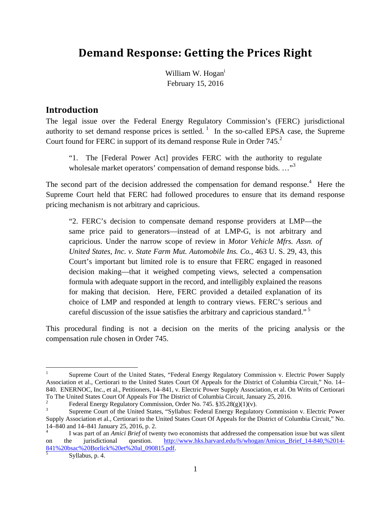# **Demand Response: Getting the Prices Right**

William W. Hogan<sup>i</sup> February 15, 2016

#### **Introduction**

The legal issue over the Federal Energy Regulatory Commission's (FERC) jurisdictional authority to set demand response prices is settled.<sup>1</sup> In the so-called EPSA case, the Supreme Court found for FERC in support of its demand response Rule in Order 745.<sup>2</sup>

"1. The [Federal Power Act] provides FERC with the authority to regulate wholesale market operators' compensation of demand response bids. ..."<sup>3</sup>

The second part of the decision addressed the compensation for demand response.<sup>4</sup> Here the Supreme Court held that FERC had followed procedures to ensure that its demand response pricing mechanism is not arbitrary and capricious.

"2. FERC's decision to compensate demand response providers at LMP—the same price paid to generators—instead of at LMP-G, is not arbitrary and capricious. Under the narrow scope of review in *Motor Vehicle Mfrs. Assn. of United States, Inc. v. State Farm Mut. Automobile Ins. Co.*, 463 U. S. 29, 43, this Court's important but limited role is to ensure that FERC engaged in reasoned decision making—that it weighed competing views, selected a compensation formula with adequate support in the record, and intelligibly explained the reasons for making that decision. Here, FERC provided a detailed explanation of its choice of LMP and responded at length to contrary views. FERC's serious and careful discussion of the issue satisfies the arbitrary and capricious standard."<sup>5</sup>

This procedural finding is not a decision on the merits of the pricing analysis or the compensation rule chosen in Order 745.

 $\overline{a}$ 

<sup>1</sup> Supreme Court of the United States, "Federal Energy Regulatory Commission v. Electric Power Supply Association et al., Certiorari to the United States Court Of Appeals for the District of Columbia Circuit," No. 14– 840. ENERNOC, Inc., et al., Petitioners, 14–841, v. Electric Power Supply Association, et al. On Writs of Certiorari To The United States Court Of Appeals For The District of Columbia Circuit, January 25, 2016. 2

Federal Energy Regulatory Commission, Order No. 745. §35.28(g)(1)(v).

<sup>3</sup> Supreme Court of the United States, "Syllabus: Federal Energy Regulatory Commission v. Electric Power Supply Association et al., Certiorari to the United States Court Of Appeals for the District of Columbia Circuit," No. 14–840 and 14–841 January 25, 2016, p. 2.

<sup>4</sup> I was part of an *Amici Brief* of twenty two economists that addressed the compensation issue but was silent on the jurisdictional question. http://www.hks.harvard.edu/fs/whogan/Amicus\_Brief\_14-840,%2014- 841%20bsac%20Borlick%20et%20al\_090815.pdf. 5

Syllabus, p. 4.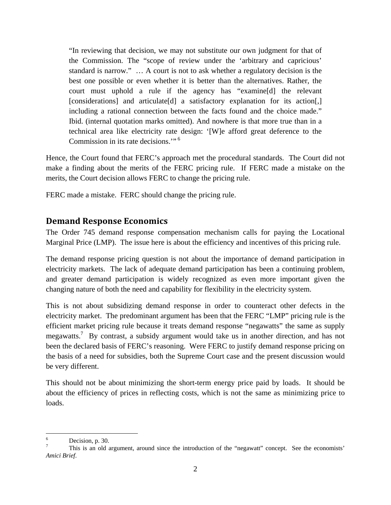"In reviewing that decision, we may not substitute our own judgment for that of the Commission. The "scope of review under the 'arbitrary and capricious' standard is narrow." … A court is not to ask whether a regulatory decision is the best one possible or even whether it is better than the alternatives. Rather, the court must uphold a rule if the agency has "examine[d] the relevant [considerations] and articulate[d] a satisfactory explanation for its action[,] including a rational connection between the facts found and the choice made." Ibid. (internal quotation marks omitted). And nowhere is that more true than in a technical area like electricity rate design: '[W]e afford great deference to the Commission in its rate decisions.'"<sup>6</sup>

Hence, the Court found that FERC's approach met the procedural standards. The Court did not make a finding about the merits of the FERC pricing rule. If FERC made a mistake on the merits, the Court decision allows FERC to change the pricing rule.

FERC made a mistake. FERC should change the pricing rule.

## **Demand Response Economics**

The Order 745 demand response compensation mechanism calls for paying the Locational Marginal Price (LMP). The issue here is about the efficiency and incentives of this pricing rule.

The demand response pricing question is not about the importance of demand participation in electricity markets. The lack of adequate demand participation has been a continuing problem, and greater demand participation is widely recognized as even more important given the changing nature of both the need and capability for flexibility in the electricity system.

This is not about subsidizing demand response in order to counteract other defects in the electricity market. The predominant argument has been that the FERC "LMP" pricing rule is the efficient market pricing rule because it treats demand response "negawatts" the same as supply megawatts.<sup>7</sup> By contrast, a subsidy argument would take us in another direction, and has not been the declared basis of FERC's reasoning. Were FERC to justify demand response pricing on the basis of a need for subsidies, both the Supreme Court case and the present discussion would be very different.

This should not be about minimizing the short-term energy price paid by loads. It should be about the efficiency of prices in reflecting costs, which is not the same as minimizing price to loads.

 $\frac{1}{6}$ Decision, p. 30.

<sup>7</sup> This is an old argument, around since the introduction of the "negawatt" concept. See the economists' *Amici Brief*.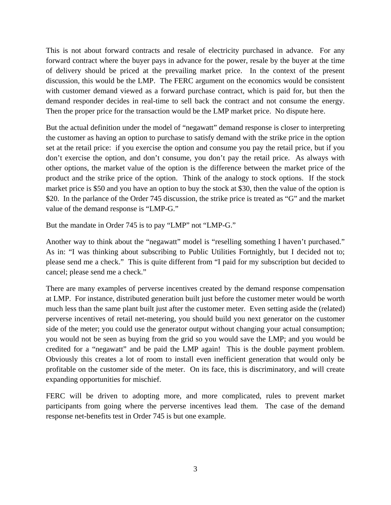This is not about forward contracts and resale of electricity purchased in advance. For any forward contract where the buyer pays in advance for the power, resale by the buyer at the time of delivery should be priced at the prevailing market price. In the context of the present discussion, this would be the LMP. The FERC argument on the economics would be consistent with customer demand viewed as a forward purchase contract, which is paid for, but then the demand responder decides in real-time to sell back the contract and not consume the energy. Then the proper price for the transaction would be the LMP market price. No dispute here.

But the actual definition under the model of "negawatt" demand response is closer to interpreting the customer as having an option to purchase to satisfy demand with the strike price in the option set at the retail price: if you exercise the option and consume you pay the retail price, but if you don't exercise the option, and don't consume, you don't pay the retail price. As always with other options, the market value of the option is the difference between the market price of the product and the strike price of the option. Think of the analogy to stock options. If the stock market price is \$50 and you have an option to buy the stock at \$30, then the value of the option is \$20. In the parlance of the Order 745 discussion, the strike price is treated as "G" and the market value of the demand response is "LMP-G."

But the mandate in Order 745 is to pay "LMP" not "LMP-G."

Another way to think about the "negawatt" model is "reselling something I haven't purchased." As in: "I was thinking about subscribing to Public Utilities Fortnightly, but I decided not to; please send me a check." This is quite different from "I paid for my subscription but decided to cancel; please send me a check."

There are many examples of perverse incentives created by the demand response compensation at LMP. For instance, distributed generation built just before the customer meter would be worth much less than the same plant built just after the customer meter. Even setting aside the (related) perverse incentives of retail net-metering, you should build you next generator on the customer side of the meter; you could use the generator output without changing your actual consumption; you would not be seen as buying from the grid so you would save the LMP; and you would be credited for a "negawatt" and be paid the LMP again! This is the double payment problem. Obviously this creates a lot of room to install even inefficient generation that would only be profitable on the customer side of the meter. On its face, this is discriminatory, and will create expanding opportunities for mischief.

FERC will be driven to adopting more, and more complicated, rules to prevent market participants from going where the perverse incentives lead them. The case of the demand response net-benefits test in Order 745 is but one example.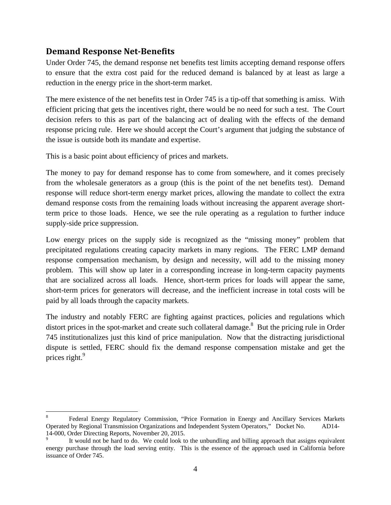## **Demand Response Net‐Benefits**

 $\overline{a}$ 

Under Order 745, the demand response net benefits test limits accepting demand response offers to ensure that the extra cost paid for the reduced demand is balanced by at least as large a reduction in the energy price in the short-term market.

The mere existence of the net benefits test in Order 745 is a tip-off that something is amiss. With efficient pricing that gets the incentives right, there would be no need for such a test. The Court decision refers to this as part of the balancing act of dealing with the effects of the demand response pricing rule. Here we should accept the Court's argument that judging the substance of the issue is outside both its mandate and expertise.

This is a basic point about efficiency of prices and markets.

The money to pay for demand response has to come from somewhere, and it comes precisely from the wholesale generators as a group (this is the point of the net benefits test). Demand response will reduce short-term energy market prices, allowing the mandate to collect the extra demand response costs from the remaining loads without increasing the apparent average shortterm price to those loads. Hence, we see the rule operating as a regulation to further induce supply-side price suppression.

Low energy prices on the supply side is recognized as the "missing money" problem that precipitated regulations creating capacity markets in many regions. The FERC LMP demand response compensation mechanism, by design and necessity, will add to the missing money problem. This will show up later in a corresponding increase in long-term capacity payments that are socialized across all loads. Hence, short-term prices for loads will appear the same, short-term prices for generators will decrease, and the inefficient increase in total costs will be paid by all loads through the capacity markets.

The industry and notably FERC are fighting against practices, policies and regulations which distort prices in the spot-market and create such collateral damage.<sup>8</sup> But the pricing rule in Order 745 institutionalizes just this kind of price manipulation. Now that the distracting jurisdictional dispute is settled, FERC should fix the demand response compensation mistake and get the prices right.<sup>9</sup>

<sup>8</sup> Federal Energy Regulatory Commission, "Price Formation in Energy and Ancillary Services Markets Operated by Regional Transmission Organizations and Independent System Operators," Docket No. AD14- 14-000, Order Directing Reports, November 20, 2015.

<sup>9</sup> It would not be hard to do. We could look to the unbundling and billing approach that assigns equivalent energy purchase through the load serving entity. This is the essence of the approach used in California before issuance of Order 745.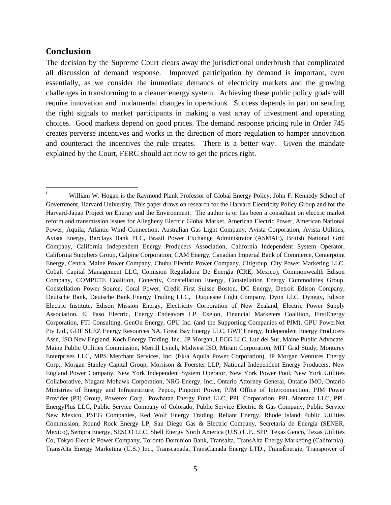#### **Conclusion**

The decision by the Supreme Court clears away the jurisdictional underbrush that complicated all discussion of demand response. Improved participation by demand is important, even essentially, as we consider the immediate demands of electricity markets and the growing challenges in transforming to a cleaner energy system. Achieving these public policy goals will require innovation and fundamental changes in operations. Success depends in part on sending the right signals to market participants in making a vast array of investment and operating choices. Good markets depend on good prices. The demand response pricing rule in Order 745 creates perverse incentives and works in the direction of more regulation to hamper innovation and counteract the incentives the rule creates. There is a better way. Given the mandate explained by the Court, FERC should act now to get the prices right.

<sup>|&</sup>lt;br>i William W. Hogan is the Raymond Plank Professor of Global Energy Policy, John F. Kennedy School of Government, Harvard University. This paper draws on research for the Harvard Electricity Policy Group and for the Harvard-Japan Project on Energy and the Environment. The author is or has been a consultant on electric market reform and transmission issues for Allegheny Electric Global Market, American Electric Power, American National Power, Aquila, Atlantic Wind Connection, Australian Gas Light Company, Avista Corporation, Avista Utilities, Avista Energy, Barclays Bank PLC, Brazil Power Exchange Administrator (ASMAE), British National Grid Company, California Independent Energy Producers Association, California Independent System Operator, California Suppliers Group, Calpine Corporation, CAM Energy, Canadian Imperial Bank of Commerce, Centerpoint Energy, Central Maine Power Company, Chubu Electric Power Company, Citigroup, City Power Marketing LLC, Cobalt Capital Management LLC, Comision Reguladora De Energia (CRE, Mexico), Commonwealth Edison Company, COMPETE Coalition, Conectiv, Constellation Energy, Constellation Energy Commodities Group, Constellation Power Source, Coral Power, Credit First Suisse Boston, DC Energy, Detroit Edison Company, Deutsche Bank, Deutsche Bank Energy Trading LLC, Duquesne Light Company, Dyon LLC, Dynegy, Edison Electric Institute, Edison Mission Energy, Electricity Corporation of New Zealand, Electric Power Supply Association, El Paso Electric, Energy Endeavors LP, Exelon, Financial Marketers Coalition, FirstEnergy Corporation, FTI Consulting, GenOn Energy, GPU Inc. (and the Supporting Companies of PJM), GPU PowerNet Pty Ltd., GDF SUEZ Energy Resources NA, Great Bay Energy LLC, GWF Energy, Independent Energy Producers Assn, ISO New England, Koch Energy Trading, Inc., JP Morgan, LECG LLC, Luz del Sur, Maine Public Advocate, Maine Public Utilities Commission, Merrill Lynch, Midwest ISO, Mirant Corporation, MIT Grid Study, Monterey Enterprises LLC, MPS Merchant Services, Inc. (f/k/a Aquila Power Corporation), JP Morgan Ventures Energy Corp., Morgan Stanley Capital Group, Morrison & Foerster LLP, National Independent Energy Producers, New England Power Company, New York Independent System Operator, New York Power Pool, New York Utilities Collaborative, Niagara Mohawk Corporation, NRG Energy, Inc., Ontario Attorney General, Ontario IMO, Ontario Ministries of Energy and Infrastructure, Pepco, Pinpoint Power, PJM Office of Interconnection, PJM Power Provider (P3) Group, Powerex Corp., Powhatan Energy Fund LLC, PPL Corporation, PPL Montana LLC, PPL EnergyPlus LLC, Public Service Company of Colorado, Public Service Electric & Gas Company, Public Service New Mexico, PSEG Companies, Red Wolf Energy Trading, Reliant Energy, Rhode Island Public Utilities Commission, Round Rock Energy LP, San Diego Gas & Electric Company, Secretaría de Energía (SENER, Mexico), Sempra Energy, SESCO LLC, Shell Energy North America (U.S.) L.P., SPP, Texas Genco, Texas Utilities Co, Tokyo Electric Power Company, Toronto Dominion Bank, Transalta, TransAlta Energy Marketing (California), TransAlta Energy Marketing (U.S.) Inc., Transcanada, TransCanada Energy LTD., TransÉnergie, Transpower of